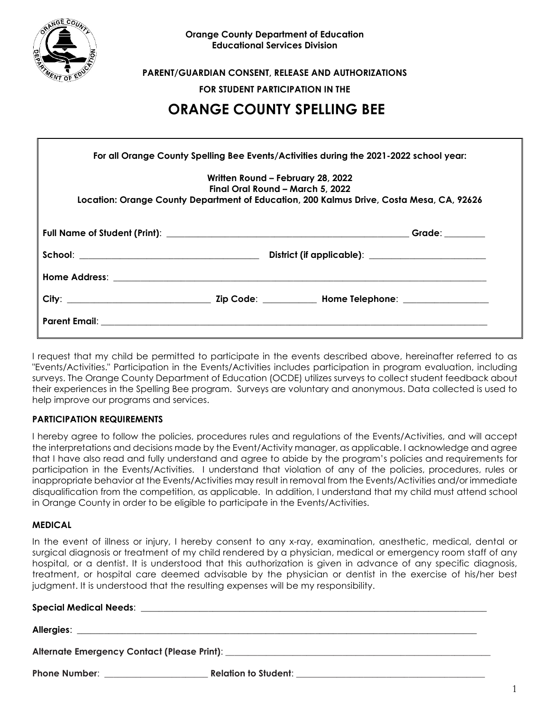

**PARENT/GUARDIAN CONSENT, RELEASE AND AUTHORIZATIONS**

**FOR STUDENT PARTICIPATION IN THE**

# **ORANGE COUNTY SPELLING BEE**

|                                                                                                                                                                                                                                     | Written Round – February 28, 2022<br>Final Oral Round – March 5, 2022 | Location: Orange County Department of Education, 200 Kalmus Drive, Costa Mesa, CA, 92626 |
|-------------------------------------------------------------------------------------------------------------------------------------------------------------------------------------------------------------------------------------|-----------------------------------------------------------------------|------------------------------------------------------------------------------------------|
|                                                                                                                                                                                                                                     |                                                                       |                                                                                          |
|                                                                                                                                                                                                                                     |                                                                       |                                                                                          |
|                                                                                                                                                                                                                                     |                                                                       |                                                                                          |
|                                                                                                                                                                                                                                     |                                                                       |                                                                                          |
| <b>Parent Email:</b> The contract of the contract of the contract of the contract of the contract of the contract of the contract of the contract of the contract of the contract of the contract of the contract of the contract o |                                                                       |                                                                                          |

I request that my child be permitted to participate in the events described above, hereinafter referred to as "Events/Activities." Participation in the Events/Activities includes participation in program evaluation, including surveys. The Orange County Department of Education (OCDE) utilizes surveys to collect student feedback about their experiences in the Spelling Bee program. Surveys are voluntary and anonymous. Data collected is used to help improve our programs and services.

## **PARTICIPATION REQUIREMENTS**

I hereby agree to follow the policies, procedures rules and regulations of the Events/Activities, and will accept the interpretations and decisions made by the Event/Activity manager, as applicable. I acknowledge and agree that I have also read and fully understand and agree to abide by the program's policies and requirements for participation in the Events/Activities. I understand that violation of any of the policies, procedures, rules or inappropriate behavior at the Events/Activities may result in removal from the Events/Activities and/or immediate disqualification from the competition, as applicable. In addition, I understand that my child must attend school in Orange County in order to be eligible to participate in the Events/Activities.

## **MEDICAL**

In the event of illness or injury, I hereby consent to any x-ray, examination, anesthetic, medical, dental or surgical diagnosis or treatment of my child rendered by a physician, medical or emergency room staff of any hospital, or a dentist. It is understood that this authorization is given in advance of any specific diagnosis, treatment, or hospital care deemed advisable by the physician or dentist in the exercise of his/her best judgment. It is understood that the resulting expenses will be my responsibility.

## **Special Medical Needs**: \_\_\_\_\_\_\_\_\_\_\_\_\_\_\_\_\_\_\_\_\_\_\_\_\_\_\_\_\_\_\_\_\_\_\_\_\_\_\_\_\_\_\_\_\_\_\_\_\_\_\_\_\_\_\_\_\_\_\_\_\_\_\_\_\_\_\_\_\_\_\_\_\_\_\_\_\_

**Allergies:** <u>and</u> and a set of the set of the set of the set of the set of the set of the set of the set of the set of the set of the set of the set of the set of the set of the set of the set of the set of the set of the

**Alternate Emergency Contact (Please Print)**: \_\_\_\_\_\_\_\_\_\_\_\_\_\_\_\_\_\_\_\_\_\_\_\_\_\_\_\_\_\_\_\_\_\_\_\_\_\_\_\_\_\_\_\_\_\_\_\_\_\_\_\_\_\_\_\_\_\_\_

**Phone Number**: \_\_\_\_\_\_\_\_\_\_\_\_\_\_\_\_\_\_\_\_\_\_\_ **Relation to Student**: \_\_\_\_\_\_\_\_\_\_\_\_\_\_\_\_\_\_\_\_\_\_\_\_\_\_\_\_\_\_\_\_\_\_\_\_\_\_\_\_\_\_